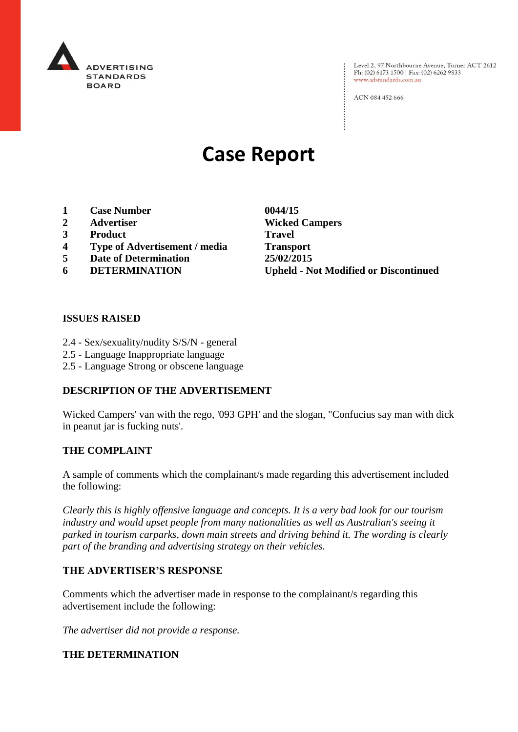

: Level 2, 97 Northbourne Avenue, Turner ACT 2612<br>: Ph: (02) 6173 1500 | Fax: (02) 6262 9833 Ph: (02) 6173 1500 | Fax: (02) 6262 9833 www.adstandards.com.au

ACN 084 452 666

# **Case Report**

- **1 Case Number 0044/15**
- 
- **3 Product Travel**
- **4 Type of Advertisement / media Transport**
- **5 Date of Determination 25/02/2015**
- 

**2 Advertiser Wicked Campers 6 DETERMINATION Upheld - Not Modified or Discontinued**

 $\vdots$ 

#### **ISSUES RAISED**

- 2.4 Sex/sexuality/nudity S/S/N general
- 2.5 Language Inappropriate language
- 2.5 Language Strong or obscene language

### **DESCRIPTION OF THE ADVERTISEMENT**

Wicked Campers' van with the rego, '093 GPH' and the slogan, "Confucius say man with dick in peanut jar is fucking nuts'.

#### **THE COMPLAINT**

A sample of comments which the complainant/s made regarding this advertisement included the following:

*Clearly this is highly offensive language and concepts. It is a very bad look for our tourism industry and would upset people from many nationalities as well as Australian's seeing it parked in tourism carparks, down main streets and driving behind it. The wording is clearly part of the branding and advertising strategy on their vehicles.*

#### **THE ADVERTISER'S RESPONSE**

Comments which the advertiser made in response to the complainant/s regarding this advertisement include the following:

*The advertiser did not provide a response.*

#### **THE DETERMINATION**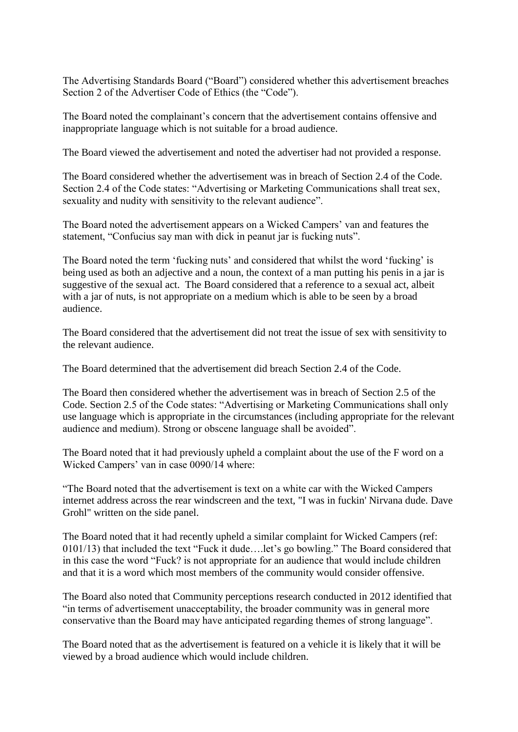The Advertising Standards Board ("Board") considered whether this advertisement breaches Section 2 of the Advertiser Code of Ethics (the "Code").

The Board noted the complainant's concern that the advertisement contains offensive and inappropriate language which is not suitable for a broad audience.

The Board viewed the advertisement and noted the advertiser had not provided a response.

The Board considered whether the advertisement was in breach of Section 2.4 of the Code. Section 2.4 of the Code states: "Advertising or Marketing Communications shall treat sex, sexuality and nudity with sensitivity to the relevant audience".

The Board noted the advertisement appears on a Wicked Campers' van and features the statement, "Confucius say man with dick in peanut jar is fucking nuts".

The Board noted the term 'fucking nuts' and considered that whilst the word 'fucking' is being used as both an adjective and a noun, the context of a man putting his penis in a jar is suggestive of the sexual act. The Board considered that a reference to a sexual act, albeit with a jar of nuts, is not appropriate on a medium which is able to be seen by a broad audience.

The Board considered that the advertisement did not treat the issue of sex with sensitivity to the relevant audience.

The Board determined that the advertisement did breach Section 2.4 of the Code.

The Board then considered whether the advertisement was in breach of Section 2.5 of the Code. Section 2.5 of the Code states: "Advertising or Marketing Communications shall only use language which is appropriate in the circumstances (including appropriate for the relevant audience and medium). Strong or obscene language shall be avoided".

The Board noted that it had previously upheld a complaint about the use of the F word on a Wicked Campers' van in case 0090/14 where:

"The Board noted that the advertisement is text on a white car with the Wicked Campers internet address across the rear windscreen and the text, "I was in fuckin' Nirvana dude. Dave Grohl" written on the side panel.

The Board noted that it had recently upheld a similar complaint for Wicked Campers (ref: 0101/13) that included the text "Fuck it dude….let's go bowling." The Board considered that in this case the word "Fuck? is not appropriate for an audience that would include children and that it is a word which most members of the community would consider offensive.

The Board also noted that Community perceptions research conducted in 2012 identified that "in terms of advertisement unacceptability, the broader community was in general more conservative than the Board may have anticipated regarding themes of strong language".

The Board noted that as the advertisement is featured on a vehicle it is likely that it will be viewed by a broad audience which would include children.